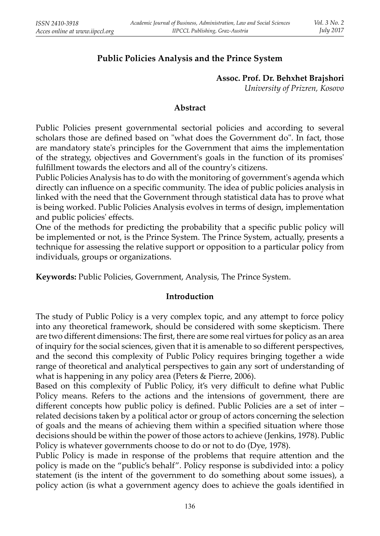# **Public Policies Analysis and the Prince System**

#### **Assoc. Prof. Dr. Behxhet Brajshori** *University of Prizren, Kosovo*

#### **Abstract**

Public Policies present governmental sectorial policies and according to several scholars those are defined based on "what does the Government do". In fact, those are mandatory state's principles for the Government that aims the implementation of the strategy, objectives and Government's goals in the function of its promises' fulfillment towards the electors and all of the country's citizens.

Public Policies Analysis has to do with the monitoring of government's agenda which directly can influence on a specific community. The idea of public policies analysis in linked with the need that the Government through statistical data has to prove what is being worked. Public Policies Analysis evolves in terms of design, implementation and public policies' effects.

One of the methods for predicting the probability that a specific public policy will be implemented or not, is the Prince System. The Prince System, actually, presents a technique for assessing the relative support or opposition to a particular policy from individuals, groups or organizations.

**Keywords:** Public Policies, Government, Analysis, The Prince System.

### **Introduction**

The study of Public Policy is a very complex topic, and any attempt to force policy into any theoretical framework, should be considered with some skepticism. There are two different dimensions: The first, there are some real virtues for policy as an area of inquiry for the social sciences, given that it is amenable to so different perspectives, and the second this complexity of Public Policy requires bringing together a wide range of theoretical and analytical perspectives to gain any sort of understanding of what is happening in any policy area (Peters & Pierre, 2006).

Based on this complexity of Public Policy, it's very difficult to define what Public Policy means. Refers to the actions and the intensions of government, there are different concepts how public policy is defined. Public Policies are a set of inter  $$ related decisions taken by a political actor or group of actors concerning the selection of goals and the means of achieving them within a specified situation where those decisions should be within the power of those actors to achieve (Jenkins, 1978). Public Policy is whatever governments choose to do or not to do (Dye, 1978).

Public Policy is made in response of the problems that require attention and the policy is made on the "public's behalf". Policy response is subdivided into: a policy statement (is the intent of the government to do something about some issues), a policy action (is what a government agency does to achieve the goals identified in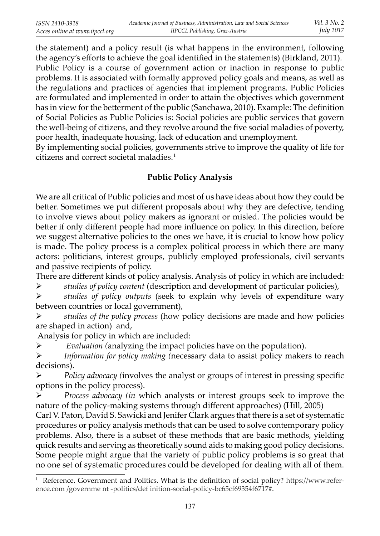the statement) and a policy result (is what happens in the environment, following the agency's efforts to achieve the goal identified in the statements) (Birkland, 2011). Public Policy is a course of government action or inaction in response to public problems. It is associated with formally approved policy goals and means, as well as the regulations and practices of agencies that implement programs. Public Policies are formulated and implemented in order to attain the objectives which government has in view for the betterment of the public (Sanchawa, 2010). Example: The definition of Social Policies as Public Policies is: Social policies are public services that govern the well-being of citizens, and they revolve around the five social maladies of poverty, poor health, inadequate housing, lack of education and unemployment.

By implementing social policies, governments strive to improve the quality of life for citizens and correct societal maladies.1

## **Public Policy Analysis**

We are all critical of Public policies and most of us have ideas about how they could be better. Sometimes we put different proposals about why they are defective, tending to involve views about policy makers as ignorant or misled. The policies would be better if only different people had more influence on policy. In this direction, before we suggest alternative policies to the ones we have, it is crucial to know how policy is made. The policy process is a complex political process in which there are many actors: politicians, interest groups, publicly employed professionals, civil servants and passive recipients of policy.

There are different kinds of policy analysis. Analysis of policy in which are included:

¾ *studies of policy content* (description and development of particular policies),

¾ *studies of policy outputs* (seek to explain why levels of expenditure wary between countries or local government),

¾ *studies of the policy process* (how policy decisions are made and how policies are shaped in action) and,

Analysis for policy in which are included:

¾ *Evaluation (*analyzing the impact policies have on the population).

¾ *Information for policy making (*necessary data to assist policy makers to reach decisions).

 $\triangleright$  *Policy advocacy (involves the analyst or groups of interest in pressing specific* options in the policy process).

¾ *Process advocacy (in* which analysts or interest groups seek to improve the nature of the policy-making systems through different approaches) (Hill, 2005)

Carl V. Paton, David S. Sawicki and Jenifer Clark argues that there is a set of systematic procedures or policy analysis methods that can be used to solve contemporary policy problems. Also, there is a subset of these methods that are basic methods, yielding quick results and serving as theoretically sound aids to making good policy decisions. Some people might argue that the variety of public policy problems is so great that no one set of systematic procedures could be developed for dealing with all of them.

 $1$  Reference. Government and Politics. What is the definition of social policy? https://www.reference.com /governme nt -politics/def inition-social-policy-bc65cf69354f6717#.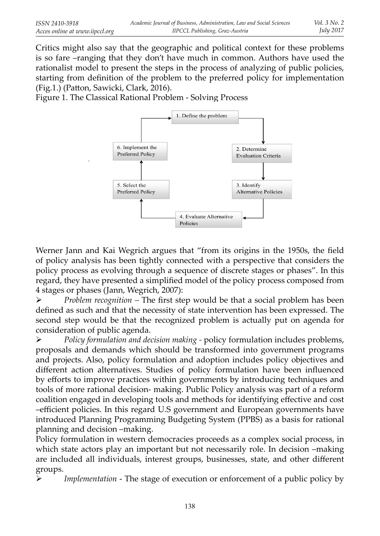Critics might also say that the geographic and political context for these problems is so fare –ranging that they don't have much in common. Authors have used the rationalist model to present the steps in the process of analyzing of public policies, starting from definition of the problem to the preferred policy for implementation (Fig.1.) (Patton, Sawicki, Clark, 2016).

Figure 1. The Classical Rational Problem - Solving Process



Werner Jann and Kai Wegrich argues that "from its origins in the 1950s, the field of policy analysis has been tightly connected with a perspective that considers the policy process as evolving through a sequence of discrete stages or phases". In this regard, they have presented a simplified model of the policy process composed from 4 stages or phases (Jann, Wegrich, 2007):

→ *Problem recognition* – The first step would be that a social problem has been defined as such and that the necessity of state intervention has been expressed. The second step would be that the recognized problem is actually put on agenda for consideration of public agenda.

¾ *Policy formulation and decision making -* policy formulation includes problems, proposals and demands which should be transformed into government programs and projects. Also, policy formulation and adoption includes policy objectives and different action alternatives. Studies of policy formulation have been influenced by efforts to improve practices within governments by introducing techniques and tools of more rational decision- making. Public Policy analysis was part of a reform coalition engaged in developing tools and methods for identifying effective and cost –efficient policies. In this regard U.S government and European governments have introduced Planning Programming Budgeting System (PPBS) as a basis for rational planning and decision –making.

Policy formulation in western democracies proceeds as a complex social process, in which state actors play an important but not necessarily role. In decision –making are included all individuals, interest groups, businesses, state, and other different groups.

*Implementation* - The stage of execution or enforcement of a public policy by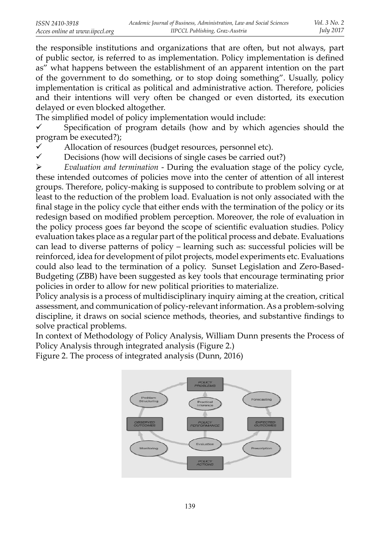the responsible institutions and organizations that are often, but not always, part of public sector, is referred to as implementation. Policy implementation is defined as" what happens between the establishment of an apparent intention on the part of the government to do something, or to stop doing something". Usually, policy implementation is critical as political and administrative action. Therefore, policies and their intentions will very often be changed or even distorted, its execution delayed or even blocked altogether.

The simplified model of policy implementation would include:

 $\checkmark$  Specification of program details (how and by which agencies should the program be executed?);

 $\checkmark$  Allocation of resources (budget resources, personnel etc).<br> $\checkmark$  Decisions (bow will decisions of single cases be carried of

Decisions (how will decisions of single cases be carried out?)

¾ *Evaluation and termination* - During the evaluation stage of the policy cycle, these intended outcomes of policies move into the center of attention of all interest groups. Therefore, policy-making is supposed to contribute to problem solving or at least to the reduction of the problem load. Evaluation is not only associated with the final stage in the policy cycle that either ends with the termination of the policy or its redesign based on modified problem perception. Moreover, the role of evaluation in the policy process goes far beyond the scope of scientific evaluation studies. Policy evaluation takes place as a regular part of the political process and debate. Evaluations can lead to diverse patterns of policy – learning such as: successful policies will be reinforced, idea for development of pilot projects, model experiments etc. Evaluations could also lead to the termination of a policy. Sunset Legislation and Zero-Based-Budgeting (ZBB) have been suggested as key tools that encourage terminating prior policies in order to allow for new political priorities to materialize.

Policy analysis is a process of multidisciplinary inquiry aiming at the creation, critical assessment, and communication of policy-relevant information. As a problem-solving discipline, it draws on social science methods, theories, and substantive findings to solve practical problems.

In context of Methodology of Policy Analysis, William Dunn presents the Process of Policy Analysis through integrated analysis (Figure 2.)

Figure 2. The process of integrated analysis (Dunn, 2016)

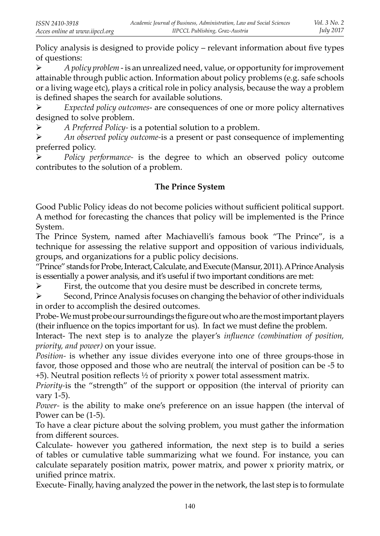Policy analysis is designed to provide policy – relevant information about five types of questions:

¾ *A policy problem* - is an unrealized need, value, or opportunity for improvement attainable through public action. Information about policy problems (e.g. safe schools or a living wage etc), plays a critical role in policy analysis, because the way a problem is defined shapes the search for available solutions.

¾ *Expected policy outcomes*- are consequences of one or more policy alternatives designed to solve problem.

¾ *A Preferred Policy-* is a potential solution to a problem.

¾ *An observed policy outcome-*is a present or past consequence of implementing preferred policy.

¾ *Policy performance-* is the degree to which an observed policy outcome contributes to the solution of a problem.

## **The Prince System**

Good Public Policy ideas do not become policies without sufficient political support. A method for forecasting the chances that policy will be implemented is the Prince System.

The Prince System, named after Machiavelli's famous book "The Prince", is a technique for assessing the relative support and opposition of various individuals, groups, and organizations for a public policy decisions.

"Prince" stands for Probe, Interact, Calculate, and Execute (Mansur, 2011). A Prince Analysis is essentially a power analysis, and it's useful if two important conditions are met:

 $\triangleright$  First, the outcome that you desire must be described in concrete terms,

¾ Second, Prince Analysis focuses on changing the behavior of other individuals in order to accomplish the desired outcomes.

Probe- We must probe our surroundings the figure out who are the most important players (their influence on the topics important for us). In fact we must define the problem.

Interact- The next step is to analyze the player's *influence (combination of position, priority, and power)* on your issue.

*Position-* is whether any issue divides everyone into one of three groups-those in favor, those opposed and those who are neutral( the interval of position can be -5 to  $+5$ ). Neutral position reflects  $\frac{1}{2}$  of priority x power total assessment matrix.

*Priority-*is the "strength" of the support or opposition (the interval of priority can vary 1-5).

*Power-* is the ability to make one's preference on an issue happen (the interval of Power can be (1-5).

To have a clear picture about the solving problem, you must gather the information from different sources.

Calculate- however you gathered information, the next step is to build a series of tables or cumulative table summarizing what we found. For instance, you can calculate separately position matrix, power matrix, and power x priority matrix, or unified prince matrix.

Execute- Finally, having analyzed the power in the network, the last step is to formulate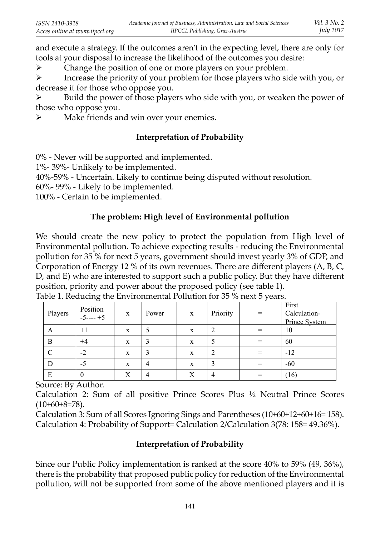and execute a strategy. If the outcomes aren't in the expecting level, there are only for tools at your disposal to increase the likelihood of the outcomes you desire:

 $\triangleright$  Change the position of one or more players on your problem.

 $\triangleright$  Increase the priority of your problem for those players who side with you, or decrease it for those who oppose you.

 $\triangleright$  Build the power of those players who side with you, or weaken the power of those who oppose you.

 $\triangleright$  Make friends and win over your enemies.

## **Interpretation of Probability**

0% - Never will be supported and implemented.

1%- 39%- Unlikely to be implemented.

40%-59% - Uncertain. Likely to continue being disputed without resolution.

60%- 99% - Likely to be implemented.

100% - Certain to be implemented.

# **The problem: High level of Environmental pollution**

We should create the new policy to protect the population from High level of Environmental pollution. To achieve expecting results - reducing the Environmental pollution for 35 % for next 5 years, government should invest yearly 3% of GDP, and Corporation of Energy 12 % of its own revenues. There are different players  $(A, B, C, A)$ D, and E) who are interested to support such a public policy. But they have different position, priority and power about the proposed policy (see table 1).

| Players | Position<br>$-5$ ---- $+5$ | X | Power | X | Priority | $=$ | First<br>Calculation-<br>Prince System |
|---------|----------------------------|---|-------|---|----------|-----|----------------------------------------|
| A       | $+1$                       | X | 5     | X |          |     | 10                                     |
| B       | $+4$                       | X | 3     | X |          |     | 60                                     |
|         | $-2$                       | X | 3     | X |          |     | $-12$                                  |
| D       | $-5$                       | X | 4     | X |          | $=$ | $-60$                                  |
| E       | 0                          | Х | 4     | Х |          | =   | (16)                                   |

Table 1. Reducing the Environmental Pollution for 35 % next 5 years.

Source: By Author.

Calculation 2: Sum of all positive Prince Scores Plus ½ Neutral Prince Scores  $(10+60+8=78)$ .

Calculation 3: Sum of all Scores Ignoring Sings and Parentheses (10+60+12+60+16= 158). Calculation 4: Probability of Support= Calculation 2/Calculation 3(78: 158= 49.36%).

## **Interpretation of Probability**

Since our Public Policy implementation is ranked at the score 40% to 59% (49, 36%), there is the probability that proposed public policy for reduction of the Environmental pollution, will not be supported from some of the above mentioned players and it is